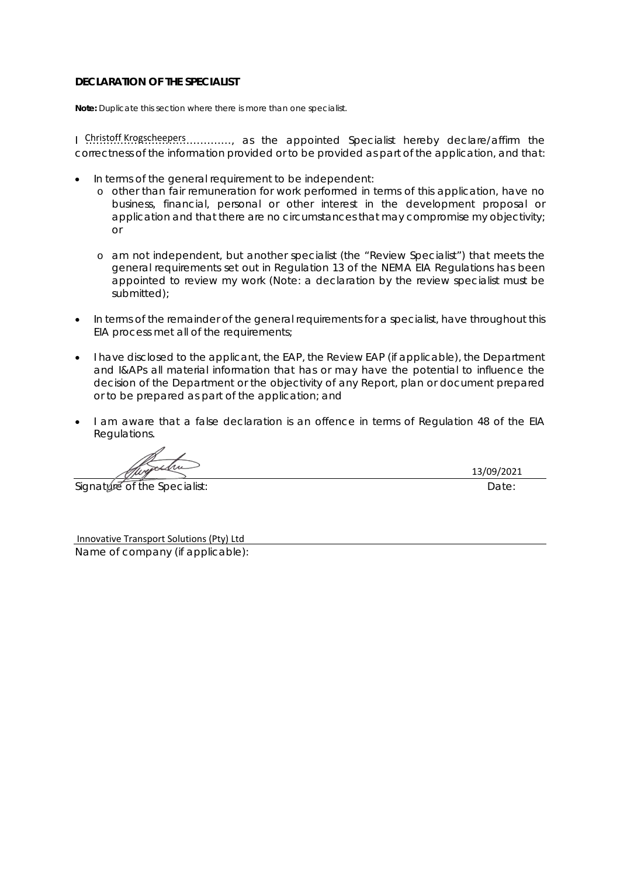**Note:** Duplicate this section where there is more than one specialist.

I Christoff Krogscheepers ............, as the appointed Specialist hereby declare/affirm the correctness of the information provided or to be provided as part of the application, and that:

- In terms of the general requirement to be independent:
	- o other than fair remuneration for work performed in terms of this application, have no business, financial, personal or other interest in the development proposal or application and that there are no circumstances that may compromise my objectivity; or
	- o am not independent, but another specialist (the "Review Specialist") that meets the general requirements set out in Regulation 13 of the NEMA EIA Regulations has been appointed to review my work (Note: a declaration by the review specialist must be submitted);
- In terms of the remainder of the general requirements for a specialist, have throughout this EIA process met all of the requirements;
- I have disclosed to the applicant, the EAP, the Review EAP (if applicable), the Department and I&APs all material information that has or may have the potential to influence the decision of the Department or the objectivity of any Report, plan or document prepared or to be prepared as part of the application; and
- I am aware that a false declaration is an offence in terms of Regulation 48 of the EIA Regulations.

Signature of the Specialist:  $\Box$ 

13/09/2021

Innovative Transport Solutions (Pty) Ltd

Name of company (if applicable):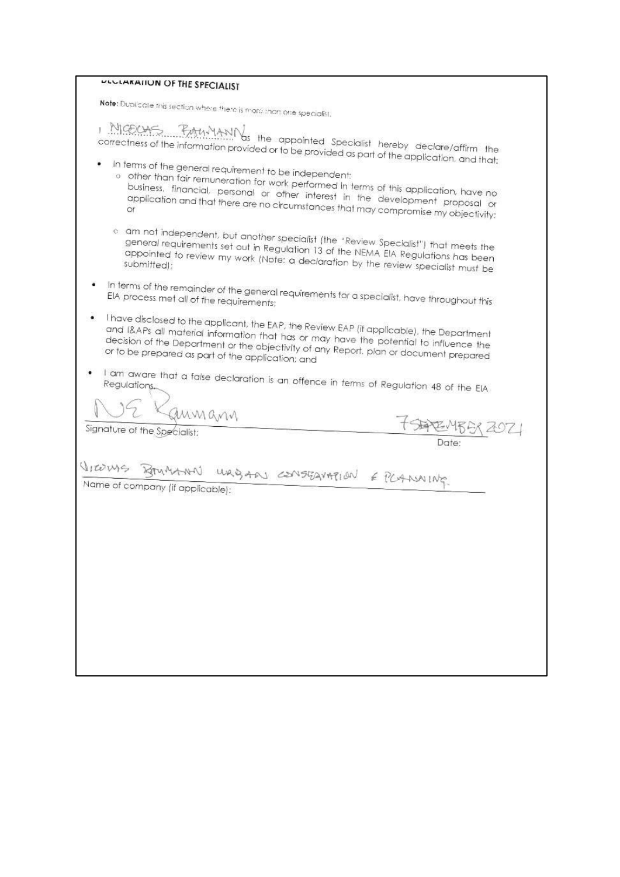| <b>ULLIMATION OF THE SPECIALIST</b>                                                                                                                                                                                                                                                                                                      |                 |
|------------------------------------------------------------------------------------------------------------------------------------------------------------------------------------------------------------------------------------------------------------------------------------------------------------------------------------------|-----------------|
| Note: Duplicate this section where there is more than one specialist.                                                                                                                                                                                                                                                                    |                 |
| MICOURS. PANYANIVas the appointed Specialist hereby declare/affirm the<br>correctness of the information provided or to be provided as part of the application, and that:                                                                                                                                                                |                 |
| In terms of the general requirement to be independent:<br>$\circ$ other than fair remuneration for work performed in terms of this application, have no<br>business, financial, personal or other interest in the development proposal or<br>application and that there are no circumstances that may compromise my objectivity:         |                 |
| $\circ$ am not independent, but another specialist (the "Review Specialist") that meets the<br>general requirements set out in Regulation 13 of the NEMA EIA Regulations has been<br>appointed to review my work (Note: a declaration by the review specialist must be<br>submitted);                                                    |                 |
| In terms of the remainder of the general requirements for a specialist, have throughout this<br>EIA process met all of the requirements;                                                                                                                                                                                                 |                 |
| I have disclosed to the applicant, the EAP, the Review EAP (if applicable), the Department<br>۰<br>and I&APs all material information that has or may have the potential to influence the<br>decision of the Department or the objectivity of any Report. plan or document prepared<br>or to be prepared as part of the application; and |                 |
| I am aware that a false declaration is an offence in terms of Regulation 48 of the EIA.                                                                                                                                                                                                                                                  |                 |
| annann                                                                                                                                                                                                                                                                                                                                   |                 |
| Signature of the Specialist:                                                                                                                                                                                                                                                                                                             | 与它 455<br>Date: |
| WRIGARY CONSEQUATION E PCANNING<br>Name of company (if applicable):                                                                                                                                                                                                                                                                      |                 |
|                                                                                                                                                                                                                                                                                                                                          |                 |
|                                                                                                                                                                                                                                                                                                                                          |                 |
|                                                                                                                                                                                                                                                                                                                                          |                 |
|                                                                                                                                                                                                                                                                                                                                          |                 |
|                                                                                                                                                                                                                                                                                                                                          |                 |
|                                                                                                                                                                                                                                                                                                                                          |                 |
|                                                                                                                                                                                                                                                                                                                                          |                 |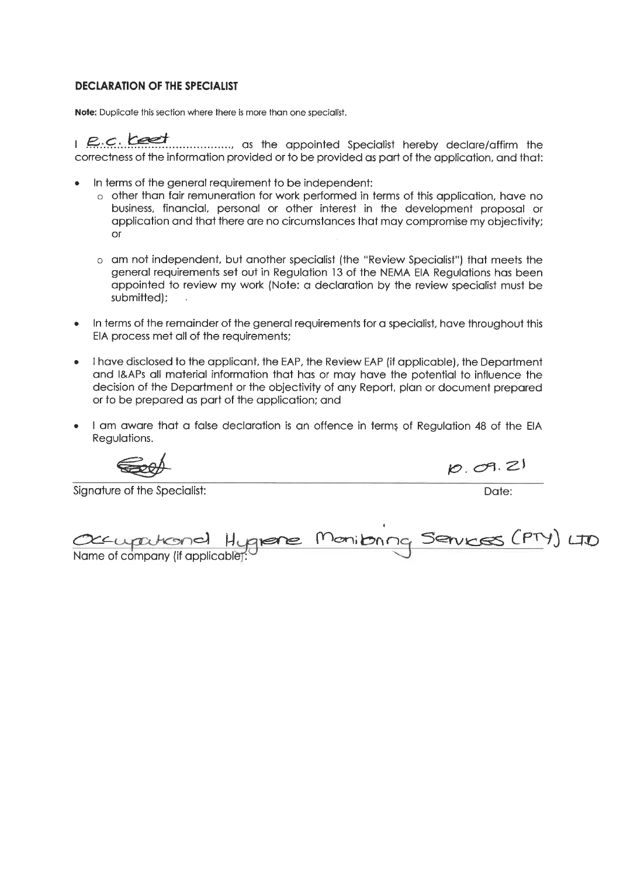Note: Duplicate this section where there is more than one specialist.

1 P.C. Least mannimum as the appointed Specialist hereby declare/affirm the correctness of the information provided or to be provided as part of the application, and that:

- In terms of the general requirement to be independent:
	- o other than fair remuneration for work performed in terms of this application, have no business, financial, personal or other interest in the development proposal or application and that there are no circumstances that may compromise my objectivity;  $or$
	- o am not independent, but another specialist (the "Review Specialist") that meets the general requirements set out in Regulation 13 of the NEMA EIA Regulations has been appointed to review my work (Note: a declaration by the review specialist must be submitted);
- In terms of the remainder of the general requirements for a specialist, have throughout this EIA process met all of the requirements;
- I have disclosed to the applicant, the EAP, the Review EAP (if applicable), the Department and I&APs all material information that has or may have the potential to influence the decision of the Department or the objectivity of any Report, plan or document prepared or to be prepared as part of the application; and
- I am aware that a false declaration is an offence in terms of Regulation 48 of the EIA Regulations.

Signature of the Specialist:

 $10.09.21$ 

Date:

| Occupational Hugnere Monitorna Services (PTY) LTD |  |  |  |
|---------------------------------------------------|--|--|--|
| Name of company (if applicable):                  |  |  |  |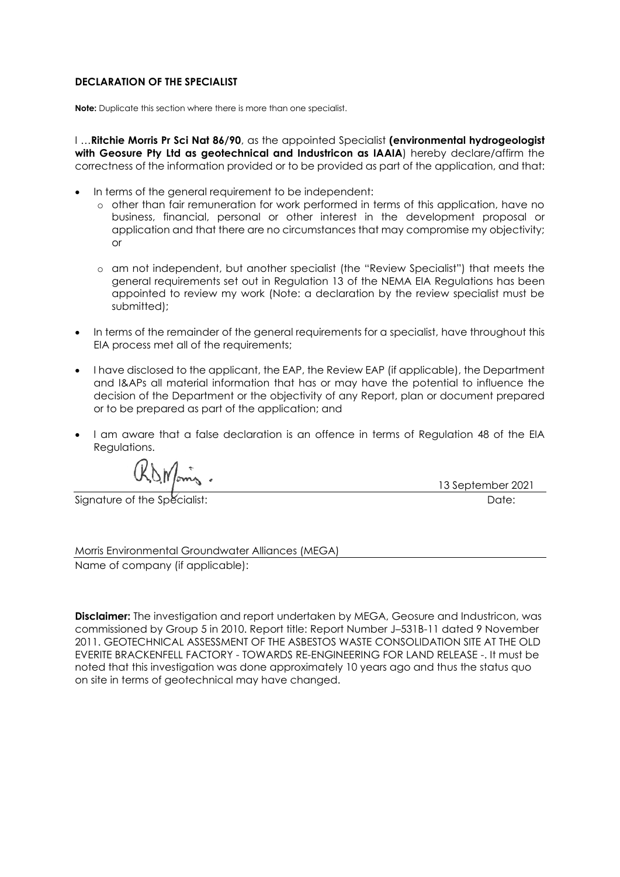**Note:** Duplicate this section where there is more than one specialist.

I …**Ritchie Morris Pr Sci Nat 86/90**, as the appointed Specialist **(environmental hydrogeologist**  with Geosure Pty Ltd as geotechnical and Industricon as IAAIA) hereby declare/affirm the correctness of the information provided or to be provided as part of the application, and that:

- In terms of the general requirement to be independent:
	- o other than fair remuneration for work performed in terms of this application, have no business, financial, personal or other interest in the development proposal or application and that there are no circumstances that may compromise my objectivity; or
	- o am not independent, but another specialist (the "Review Specialist") that meets the general requirements set out in Regulation 13 of the NEMA EIA Regulations has been appointed to review my work (Note: a declaration by the review specialist must be submitted);
- In terms of the remainder of the general requirements for a specialist, have throughout this EIA process met all of the requirements;
- I have disclosed to the applicant, the EAP, the Review EAP (if applicable), the Department and I&APs all material information that has or may have the potential to influence the decision of the Department or the objectivity of any Report, plan or document prepared or to be prepared as part of the application; and
- I am aware that a false declaration is an offence in terms of Regulation 48 of the EIA Regulations.

Signature of the Specialist: **Date:** Date: Date: **Date:** Date: **Date:** Date: **Date:** Date: **Date:** Date: **Date: Date: Date: Date: Date: Date: Date: Date: Date: Date: Date: Date: Date: Date: Date** 

13 September 2021

Morris Environmental Groundwater Alliances (MEGA) Name of company (if applicable):

**Disclaimer:** The investigation and report undertaken by MEGA, Geosure and Industricon, was commissioned by Group 5 in 2010. Report title: Report Number J–531B-11 dated 9 November 2011. GEOTECHNICAL ASSESSMENT OF THE ASBESTOS WASTE CONSOLIDATION SITE AT THE OLD EVERITE BRACKENFELL FACTORY - TOWARDS RE-ENGINEERING FOR LAND RELEASE -. It must be noted that this investigation was done approximately 10 years ago and thus the status quo on site in terms of geotechnical may have changed.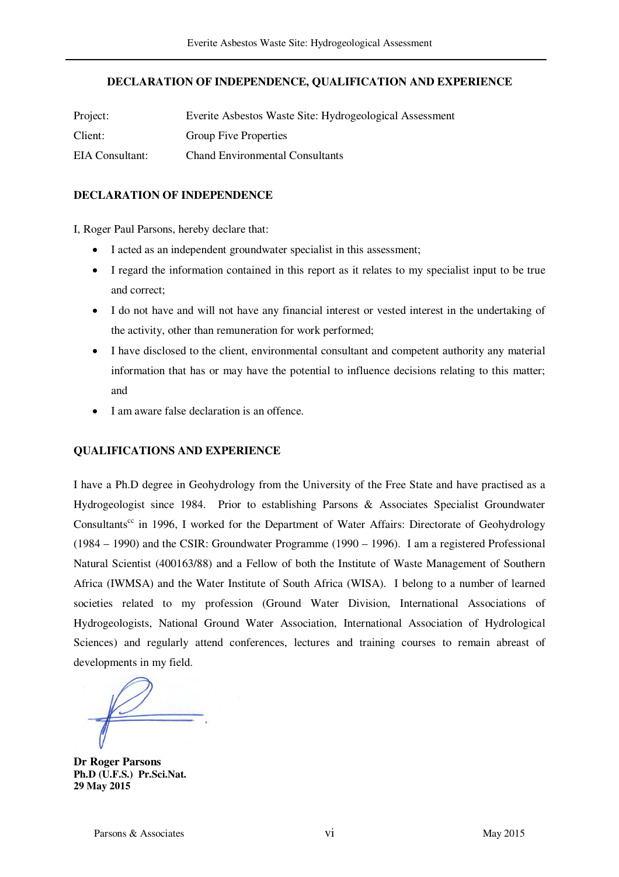## **DECLARATION OF INDEPENDENCE, QUALIFICATION AND EXPERIENCE**

| Project:        | Everite Asbestos Waste Site: Hydrogeological Assessment |
|-----------------|---------------------------------------------------------|
| Client:         | <b>Group Five Properties</b>                            |
| EIA Consultant: | <b>Chand Environmental Consultants</b>                  |

## **DECLARATION OF INDEPENDENCE**

I, Roger Paul Parsons, hereby declare that:

- I acted as an independent groundwater specialist in this assessment;
- I regard the information contained in this report as it relates to my specialist input to be true and correct;
- I do not have and will not have any financial interest or vested interest in the undertaking of the activity, other than remuneration for work performed;
- I have disclosed to the client, environmental consultant and competent authority any material information that has or may have the potential to influence decisions relating to this matter; and
- I am aware false declaration is an offence.

# **QUALIFICATIONS AND EXPERIENCE**

I have a Ph.D degree in Geohydrology from the University of the Free State and have practised as a Hydrogeologist since 1984. Prior to establishing Parsons & Associates Specialist Groundwater Consultants<sup>cc</sup> in 1996, I worked for the Department of Water Affairs: Directorate of Geohydrology (1984 – 1990) and the CSIR: Groundwater Programme (1990 – 1996). I am a registered Professional Natural Scientist (400163/88) and a Fellow of both the Institute of Waste Management of Southern Africa (IWMSA) and the Water Institute of South Africa (WISA). I belong to a number of learned societies related to my profession (Ground Water Division, International Associations of Hydrogeologists, National Ground Water Association, International Association of Hydrological Sciences) and regularly attend conferences, lectures and training courses to remain abreast of developments in my field.

**Dr Roger Parsons Ph.D (U.F.S.) Pr.Sci.Nat. 29 May 2015**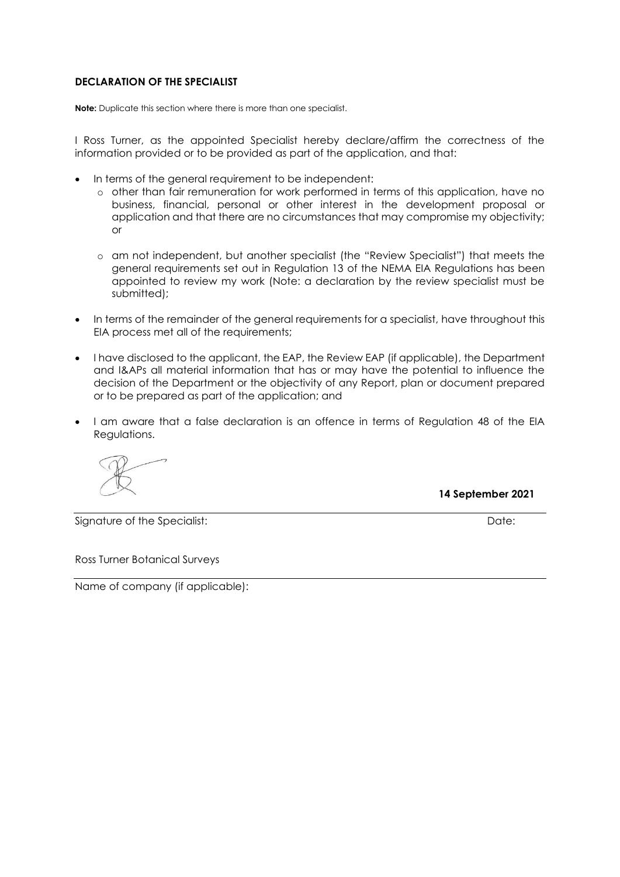**Note:** Duplicate this section where there is more than one specialist.

I Ross Turner, as the appointed Specialist hereby declare/affirm the correctness of the information provided or to be provided as part of the application, and that:

- In terms of the general requirement to be independent:
	- o other than fair remuneration for work performed in terms of this application, have no business, financial, personal or other interest in the development proposal or application and that there are no circumstances that may compromise my objectivity; or
	- o am not independent, but another specialist (the "Review Specialist") that meets the general requirements set out in Regulation 13 of the NEMA EIA Regulations has been appointed to review my work (Note: a declaration by the review specialist must be submitted):
- In terms of the remainder of the general requirements for a specialist, have throughout this EIA process met all of the requirements;
- I have disclosed to the applicant, the EAP, the Review EAP (if applicable), the Department and I&APs all material information that has or may have the potential to influence the decision of the Department or the objectivity of any Report, plan or document prepared or to be prepared as part of the application; and
- I am aware that a false declaration is an offence in terms of Regulation 48 of the EIA Regulations.

 **14 September 2021**

Signature of the Specialist: **Date:** Date: Date: **Date:** Date: **Date:** Date: **Date:** Date: **Date:** Date: **Date:** Date: **Date:** 2014

Ross Turner Botanical Surveys

Name of company (if applicable):